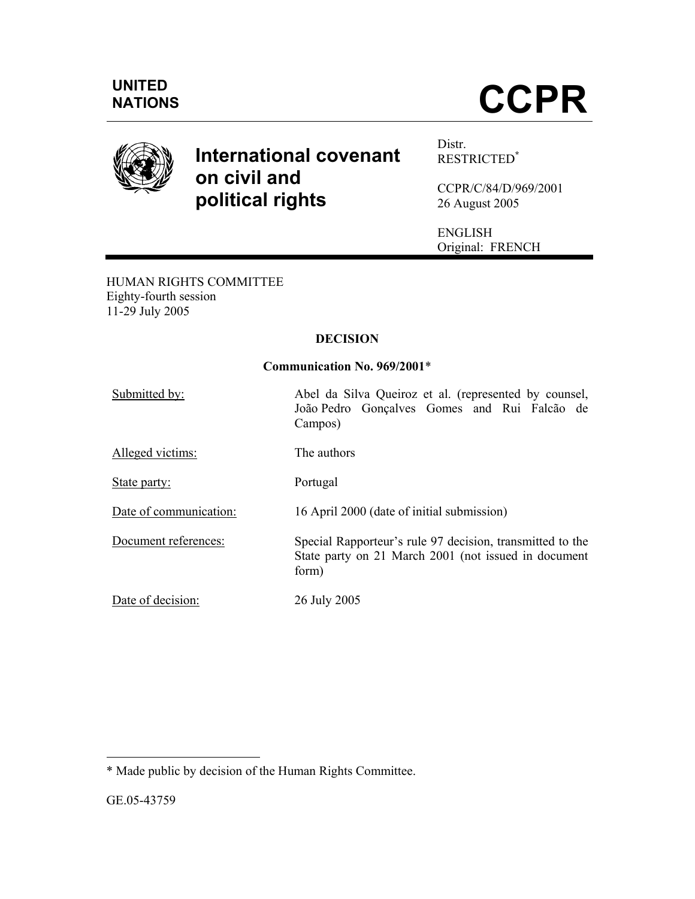

# **International covenant on civil and political rights**

Distr. RESTRICTED**\***

CCPR/C/84/D/969/2001 26 August 2005

ENGLISH Original: FRENCH

HUMAN RIGHTS COMMITTEE Eighty-fourth session 11-29 July 2005

# **DECISION**

# **Communication No. 969/2001**\*

| Submitted by:          | Abel da Silva Queiroz et al. (represented by counsel,<br>João Pedro Gonçalves Gomes and Rui Falcão de<br>Campos)           |  |  |  |  |  |
|------------------------|----------------------------------------------------------------------------------------------------------------------------|--|--|--|--|--|
| Alleged victims:       | The authors                                                                                                                |  |  |  |  |  |
| State party:           | Portugal                                                                                                                   |  |  |  |  |  |
| Date of communication: | 16 April 2000 (date of initial submission)                                                                                 |  |  |  |  |  |
| Document references:   | Special Rapporteur's rule 97 decision, transmitted to the<br>State party on 21 March 2001 (not issued in document<br>form) |  |  |  |  |  |
| Date of decision:      | 26 July 2005                                                                                                               |  |  |  |  |  |

<sup>-</sup>\* Made public by decision of the Human Rights Committee.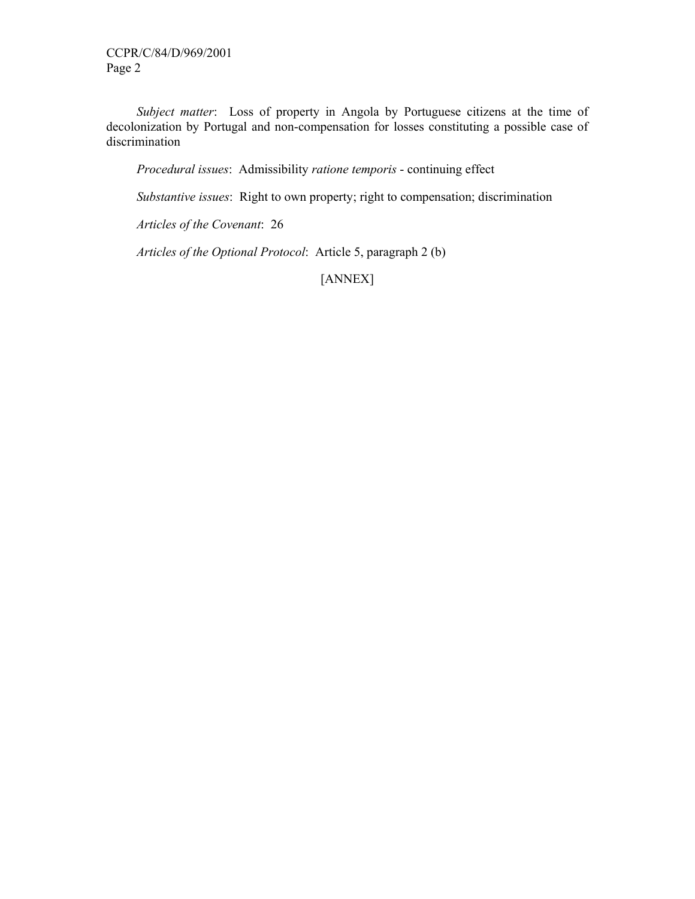*Subject matter*: Loss of property in Angola by Portuguese citizens at the time of decolonization by Portugal and non-compensation for losses constituting a possible case of discrimination

 *Procedural issues*: Admissibility *ratione temporis* - continuing effect

 *Substantive issues*: Right to own property; right to compensation; discrimination

 *Articles of the Covenant*: 26

 *Articles of the Optional Protocol*: Article 5, paragraph 2 (b)

[ANNEX]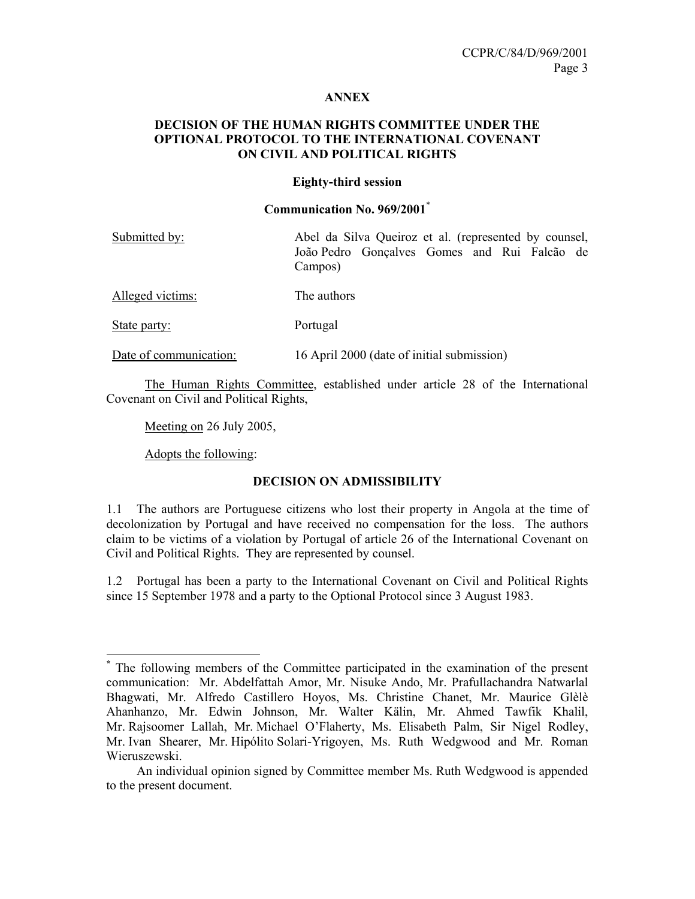## **ANNEX**

## **DECISION OF THE HUMAN RIGHTS COMMITTEE UNDER THE OPTIONAL PROTOCOL TO THE INTERNATIONAL COVENANT ON CIVIL AND POLITICAL RIGHTS**

#### **Eighty-third session**

#### **Communication No. 969/2001**\*

| Submitted by:    | Abel da Silva Queiroz et al. (represented by counsel,   |  |  |  |  |  |  |
|------------------|---------------------------------------------------------|--|--|--|--|--|--|
|                  | João Pedro Gonçalves Gomes and Rui Falcão de<br>Campos) |  |  |  |  |  |  |
| Alleged victims: | The authors                                             |  |  |  |  |  |  |

State party: Portugal

Date of communication: 16 April 2000 (date of initial submission)

 The Human Rights Committee, established under article 28 of the International Covenant on Civil and Political Rights,

Meeting on 26 July 2005,

Adopts the following:

-

## **DECISION ON ADMISSIBILITY**

1.1 The authors are Portuguese citizens who lost their property in Angola at the time of decolonization by Portugal and have received no compensation for the loss. The authors claim to be victims of a violation by Portugal of article 26 of the International Covenant on Civil and Political Rights. They are represented by counsel.

1.2 Portugal has been a party to the International Covenant on Civil and Political Rights since 15 September 1978 and a party to the Optional Protocol since 3 August 1983.

**<sup>\*</sup>** The following members of the Committee participated in the examination of the present communication: Mr. Abdelfattah Amor, Mr. Nisuke Ando, Mr. Prafullachandra Natwarlal Bhagwati, Mr. Alfredo Castillero Hoyos, Ms. Christine Chanet, Mr. Maurice Glèlè Ahanhanzo, Mr. Edwin Johnson, Mr. Walter Kälin, Mr. Ahmed Tawfik Khalil, Mr. Rajsoomer Lallah, Mr. Michael O'Flaherty, Ms. Elisabeth Palm, Sir Nigel Rodley, Mr. Ivan Shearer, Mr. Hipólito Solari-Yrigoyen, Ms. Ruth Wedgwood and Mr. Roman Wieruszewski.

An individual opinion signed by Committee member Ms. Ruth Wedgwood is appended to the present document.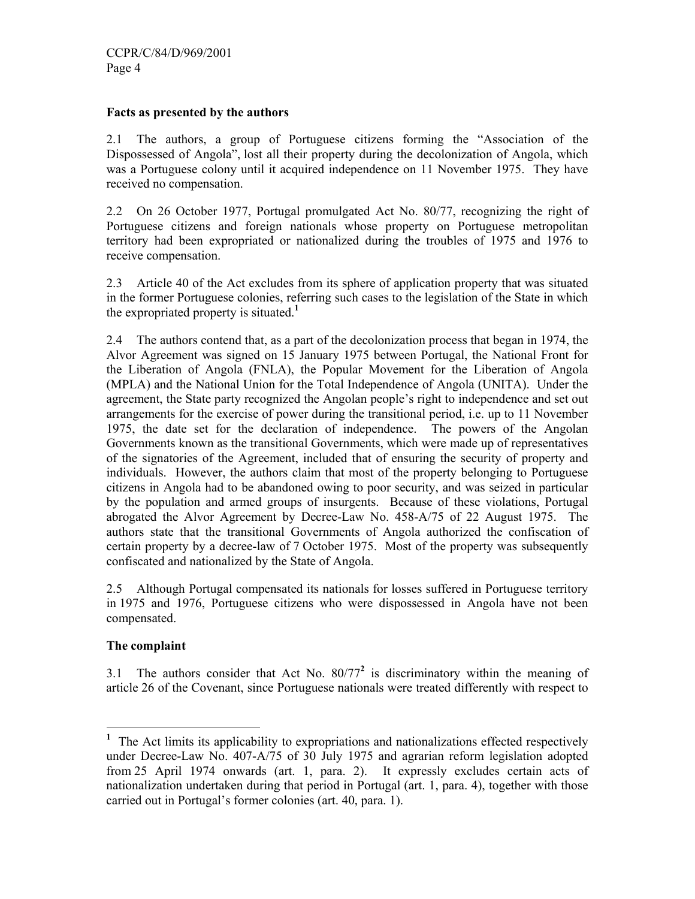## **Facts as presented by the authors**

2.1 The authors, a group of Portuguese citizens forming the "Association of the Dispossessed of Angola", lost all their property during the decolonization of Angola, which was a Portuguese colony until it acquired independence on 11 November 1975. They have received no compensation.

2.2 On 26 October 1977, Portugal promulgated Act No. 80/77, recognizing the right of Portuguese citizens and foreign nationals whose property on Portuguese metropolitan territory had been expropriated or nationalized during the troubles of 1975 and 1976 to receive compensation.

2.3 Article 40 of the Act excludes from its sphere of application property that was situated in the former Portuguese colonies, referring such cases to the legislation of the State in which the expropriated property is situated.**<sup>1</sup>**

2.4 The authors contend that, as a part of the decolonization process that began in 1974, the Alvor Agreement was signed on 15 January 1975 between Portugal, the National Front for the Liberation of Angola (FNLA), the Popular Movement for the Liberation of Angola (MPLA) and the National Union for the Total Independence of Angola (UNITA). Under the agreement, the State party recognized the Angolan people's right to independence and set out arrangements for the exercise of power during the transitional period, i.e. up to 11 November 1975, the date set for the declaration of independence. The powers of the Angolan Governments known as the transitional Governments, which were made up of representatives of the signatories of the Agreement, included that of ensuring the security of property and individuals. However, the authors claim that most of the property belonging to Portuguese citizens in Angola had to be abandoned owing to poor security, and was seized in particular by the population and armed groups of insurgents. Because of these violations, Portugal abrogated the Alvor Agreement by Decree-Law No. 458-A/75 of 22 August 1975. The authors state that the transitional Governments of Angola authorized the confiscation of certain property by a decree-law of 7 October 1975. Most of the property was subsequently confiscated and nationalized by the State of Angola.

2.5 Although Portugal compensated its nationals for losses suffered in Portuguese territory in 1975 and 1976, Portuguese citizens who were dispossessed in Angola have not been compensated.

## **The complaint**

3.1 The authors consider that Act No.  $80/77^2$  is discriminatory within the meaning of article 26 of the Covenant, since Portuguese nationals were treated differently with respect to

<sup>&</sup>lt;sup>1</sup> The Act limits its applicability to expropriations and nationalizations effected respectively under Decree-Law No. 407-A/75 of 30 July 1975 and agrarian reform legislation adopted from 25 April 1974 onwards (art. 1, para. 2). It expressly excludes certain acts of nationalization undertaken during that period in Portugal (art. 1, para. 4), together with those carried out in Portugal's former colonies (art. 40, para. 1).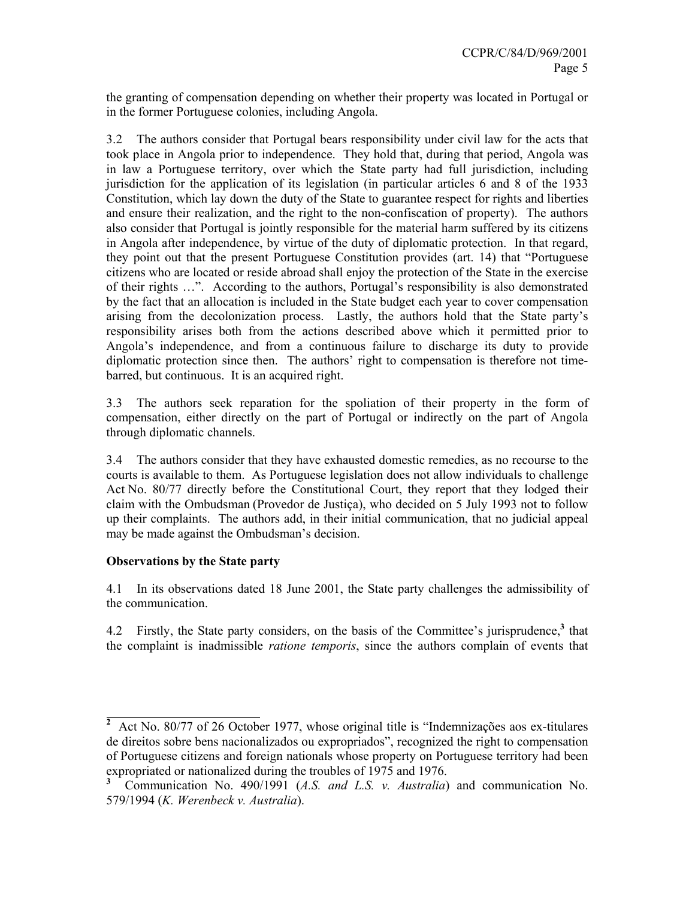the granting of compensation depending on whether their property was located in Portugal or in the former Portuguese colonies, including Angola.

3.2 The authors consider that Portugal bears responsibility under civil law for the acts that took place in Angola prior to independence. They hold that, during that period, Angola was in law a Portuguese territory, over which the State party had full jurisdiction, including jurisdiction for the application of its legislation (in particular articles 6 and 8 of the 1933 Constitution, which lay down the duty of the State to guarantee respect for rights and liberties and ensure their realization, and the right to the non-confiscation of property). The authors also consider that Portugal is jointly responsible for the material harm suffered by its citizens in Angola after independence, by virtue of the duty of diplomatic protection. In that regard, they point out that the present Portuguese Constitution provides (art. 14) that "Portuguese citizens who are located or reside abroad shall enjoy the protection of the State in the exercise of their rights …". According to the authors, Portugal's responsibility is also demonstrated by the fact that an allocation is included in the State budget each year to cover compensation arising from the decolonization process. Lastly, the authors hold that the State party's responsibility arises both from the actions described above which it permitted prior to Angola's independence, and from a continuous failure to discharge its duty to provide diplomatic protection since then. The authors' right to compensation is therefore not timebarred, but continuous. It is an acquired right.

3.3 The authors seek reparation for the spoliation of their property in the form of compensation, either directly on the part of Portugal or indirectly on the part of Angola through diplomatic channels.

3.4 The authors consider that they have exhausted domestic remedies, as no recourse to the courts is available to them. As Portuguese legislation does not allow individuals to challenge Act No. 80/77 directly before the Constitutional Court, they report that they lodged their claim with the Ombudsman (Provedor de Justiça), who decided on 5 July 1993 not to follow up their complaints. The authors add, in their initial communication, that no judicial appeal may be made against the Ombudsman's decision.

# **Observations by the State party**

 $\overline{a}$ 

4.1 In its observations dated 18 June 2001, the State party challenges the admissibility of the communication.

4.2 Firstly, the State party considers, on the basis of the Committee's jurisprudence,**<sup>3</sup>** that the complaint is inadmissible *ratione temporis*, since the authors complain of events that

**<sup>2</sup>** Act No. 80/77 of 26 October 1977, whose original title is "Indemnizações aos ex-titulares de direitos sobre bens nacionalizados ou expropriados", recognized the right to compensation of Portuguese citizens and foreign nationals whose property on Portuguese territory had been expropriated or nationalized during the troubles of 1975 and 1976.

**<sup>3</sup>** Communication No. 490/1991 (*A.S. and L.S. v. Australia*) and communication No. 579/1994 (*K. Werenbeck v. Australia*).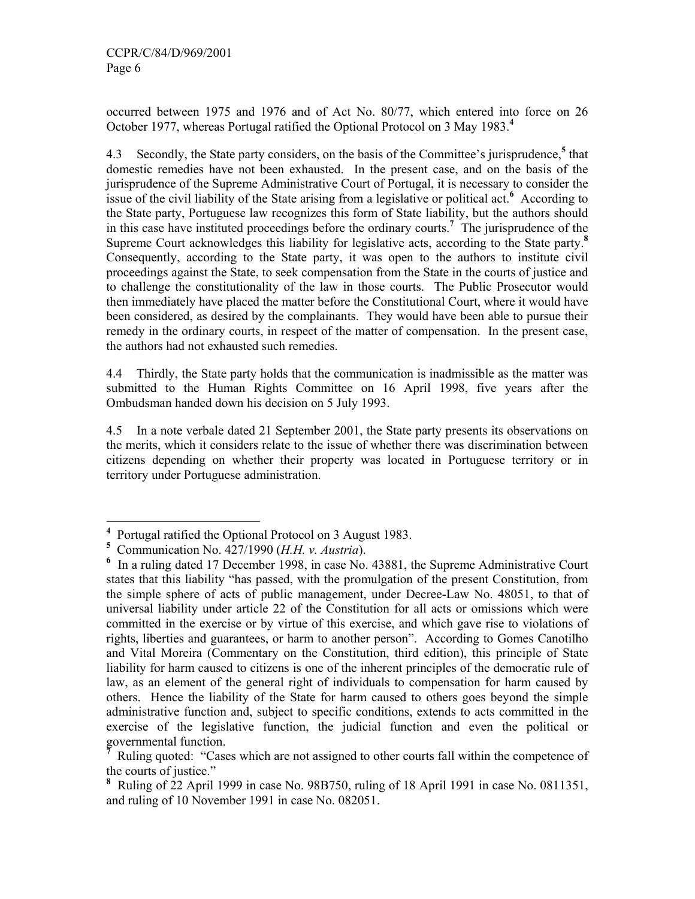occurred between 1975 and 1976 and of Act No. 80/77, which entered into force on 26 October 1977, whereas Portugal ratified the Optional Protocol on 3 May 1983.**<sup>4</sup>**

4.3 Secondly, the State party considers, on the basis of the Committee's jurisprudence,**<sup>5</sup>** that domestic remedies have not been exhausted. In the present case, and on the basis of the jurisprudence of the Supreme Administrative Court of Portugal, it is necessary to consider the issue of the civil liability of the State arising from a legislative or political act.**<sup>6</sup>** According to the State party, Portuguese law recognizes this form of State liability, but the authors should in this case have instituted proceedings before the ordinary courts.**<sup>7</sup>** The jurisprudence of the Supreme Court acknowledges this liability for legislative acts, according to the State party.**<sup>8</sup>** Consequently, according to the State party, it was open to the authors to institute civil proceedings against the State, to seek compensation from the State in the courts of justice and to challenge the constitutionality of the law in those courts. The Public Prosecutor would then immediately have placed the matter before the Constitutional Court, where it would have been considered, as desired by the complainants. They would have been able to pursue their remedy in the ordinary courts, in respect of the matter of compensation. In the present case, the authors had not exhausted such remedies.

4.4 Thirdly, the State party holds that the communication is inadmissible as the matter was submitted to the Human Rights Committee on 16 April 1998, five years after the Ombudsman handed down his decision on 5 July 1993.

4.5 In a note verbale dated 21 September 2001, the State party presents its observations on the merits, which it considers relate to the issue of whether there was discrimination between citizens depending on whether their property was located in Portuguese territory or in territory under Portuguese administration.

-

**<sup>4</sup>** Portugal ratified the Optional Protocol on 3 August 1983.

**<sup>5</sup>** Communication No. 427/1990 (*H.H. v. Austria*).

<sup>&</sup>lt;sup>6</sup> In a ruling dated 17 December 1998, in case No. 43881, the Supreme Administrative Court states that this liability "has passed, with the promulgation of the present Constitution, from the simple sphere of acts of public management, under Decree-Law No. 48051, to that of universal liability under article 22 of the Constitution for all acts or omissions which were committed in the exercise or by virtue of this exercise, and which gave rise to violations of rights, liberties and guarantees, or harm to another person". According to Gomes Canotilho and Vital Moreira (Commentary on the Constitution, third edition), this principle of State liability for harm caused to citizens is one of the inherent principles of the democratic rule of law, as an element of the general right of individuals to compensation for harm caused by others. Hence the liability of the State for harm caused to others goes beyond the simple administrative function and, subject to specific conditions, extends to acts committed in the exercise of the legislative function, the judicial function and even the political or governmental function.

**<sup>7</sup>** Ruling quoted: "Cases which are not assigned to other courts fall within the competence of the courts of justice."

**<sup>8</sup>** Ruling of 22 April 1999 in case No. 98B750, ruling of 18 April 1991 in case No. 0811351, and ruling of 10 November 1991 in case No. 082051.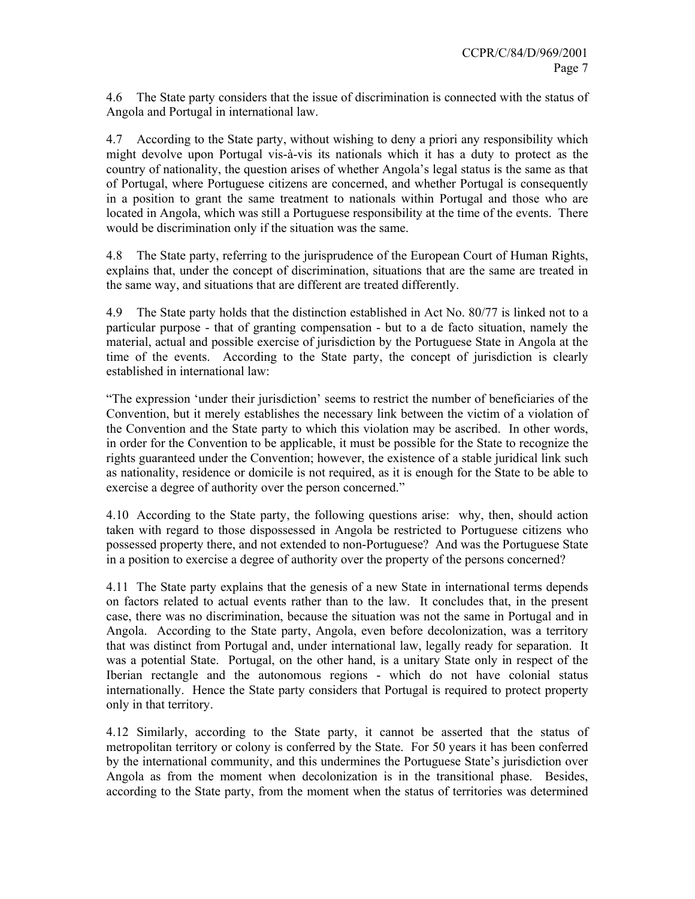4.6 The State party considers that the issue of discrimination is connected with the status of Angola and Portugal in international law.

4.7 According to the State party, without wishing to deny a priori any responsibility which might devolve upon Portugal vis-à-vis its nationals which it has a duty to protect as the country of nationality, the question arises of whether Angola's legal status is the same as that of Portugal, where Portuguese citizens are concerned, and whether Portugal is consequently in a position to grant the same treatment to nationals within Portugal and those who are located in Angola, which was still a Portuguese responsibility at the time of the events. There would be discrimination only if the situation was the same.

4.8 The State party, referring to the jurisprudence of the European Court of Human Rights, explains that, under the concept of discrimination, situations that are the same are treated in the same way, and situations that are different are treated differently.

4.9 The State party holds that the distinction established in Act No. 80/77 is linked not to a particular purpose - that of granting compensation - but to a de facto situation, namely the material, actual and possible exercise of jurisdiction by the Portuguese State in Angola at the time of the events. According to the State party, the concept of jurisdiction is clearly established in international law:

"The expression 'under their jurisdiction' seems to restrict the number of beneficiaries of the Convention, but it merely establishes the necessary link between the victim of a violation of the Convention and the State party to which this violation may be ascribed. In other words, in order for the Convention to be applicable, it must be possible for the State to recognize the rights guaranteed under the Convention; however, the existence of a stable juridical link such as nationality, residence or domicile is not required, as it is enough for the State to be able to exercise a degree of authority over the person concerned."

4.10 According to the State party, the following questions arise: why, then, should action taken with regard to those dispossessed in Angola be restricted to Portuguese citizens who possessed property there, and not extended to non-Portuguese? And was the Portuguese State in a position to exercise a degree of authority over the property of the persons concerned?

4.11 The State party explains that the genesis of a new State in international terms depends on factors related to actual events rather than to the law. It concludes that, in the present case, there was no discrimination, because the situation was not the same in Portugal and in Angola. According to the State party, Angola, even before decolonization, was a territory that was distinct from Portugal and, under international law, legally ready for separation. It was a potential State. Portugal, on the other hand, is a unitary State only in respect of the Iberian rectangle and the autonomous regions - which do not have colonial status internationally. Hence the State party considers that Portugal is required to protect property only in that territory.

4.12 Similarly, according to the State party, it cannot be asserted that the status of metropolitan territory or colony is conferred by the State. For 50 years it has been conferred by the international community, and this undermines the Portuguese State's jurisdiction over Angola as from the moment when decolonization is in the transitional phase. Besides, according to the State party, from the moment when the status of territories was determined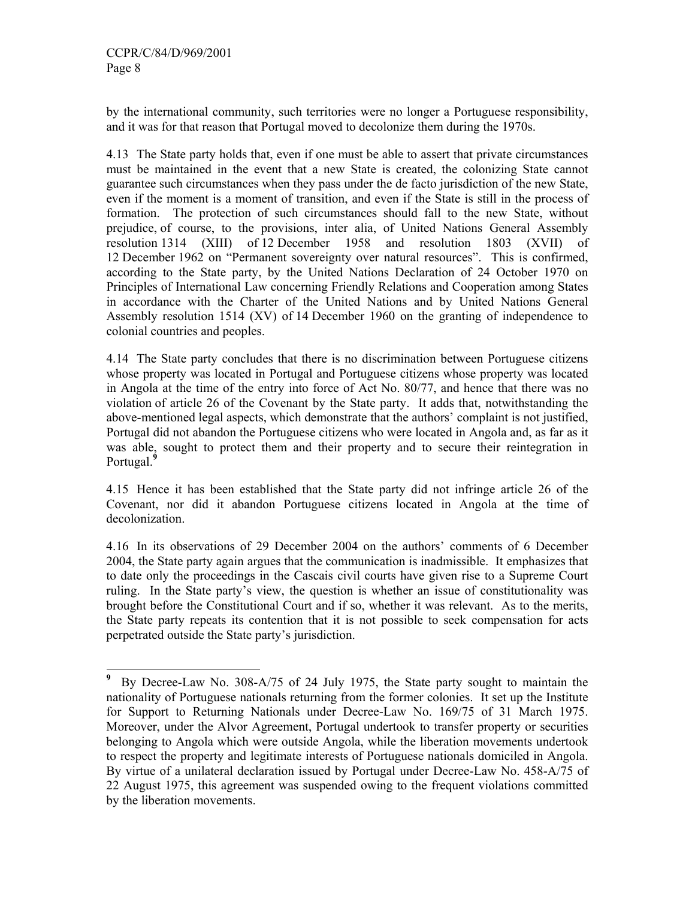-

by the international community, such territories were no longer a Portuguese responsibility, and it was for that reason that Portugal moved to decolonize them during the 1970s.

4.13 The State party holds that, even if one must be able to assert that private circumstances must be maintained in the event that a new State is created, the colonizing State cannot guarantee such circumstances when they pass under the de facto jurisdiction of the new State, even if the moment is a moment of transition, and even if the State is still in the process of formation. The protection of such circumstances should fall to the new State, without prejudice, of course, to the provisions, inter alia, of United Nations General Assembly resolution 1314 (XIII) of 12 December 1958 and resolution 1803 (XVII) of 12 December 1962 on "Permanent sovereignty over natural resources". This is confirmed, according to the State party, by the United Nations Declaration of 24 October 1970 on Principles of International Law concerning Friendly Relations and Cooperation among States in accordance with the Charter of the United Nations and by United Nations General Assembly resolution 1514 (XV) of 14 December 1960 on the granting of independence to colonial countries and peoples.

4.14 The State party concludes that there is no discrimination between Portuguese citizens whose property was located in Portugal and Portuguese citizens whose property was located in Angola at the time of the entry into force of Act No. 80/77, and hence that there was no violation of article 26 of the Covenant by the State party. It adds that, notwithstanding the above-mentioned legal aspects, which demonstrate that the authors' complaint is not justified, Portugal did not abandon the Portuguese citizens who were located in Angola and, as far as it was able, sought to protect them and their property and to secure their reintegration in Portugal.**<sup>9</sup>**

4.15 Hence it has been established that the State party did not infringe article 26 of the Covenant, nor did it abandon Portuguese citizens located in Angola at the time of decolonization.

4.16 In its observations of 29 December 2004 on the authors' comments of 6 December 2004, the State party again argues that the communication is inadmissible. It emphasizes that to date only the proceedings in the Cascais civil courts have given rise to a Supreme Court ruling. In the State party's view, the question is whether an issue of constitutionality was brought before the Constitutional Court and if so, whether it was relevant. As to the merits, the State party repeats its contention that it is not possible to seek compensation for acts perpetrated outside the State party's jurisdiction.

**<sup>9</sup>** By Decree-Law No. 308-A/75 of 24 July 1975, the State party sought to maintain the nationality of Portuguese nationals returning from the former colonies. It set up the Institute for Support to Returning Nationals under Decree-Law No. 169/75 of 31 March 1975. Moreover, under the Alvor Agreement, Portugal undertook to transfer property or securities belonging to Angola which were outside Angola, while the liberation movements undertook to respect the property and legitimate interests of Portuguese nationals domiciled in Angola. By virtue of a unilateral declaration issued by Portugal under Decree-Law No. 458-A/75 of 22 August 1975, this agreement was suspended owing to the frequent violations committed by the liberation movements.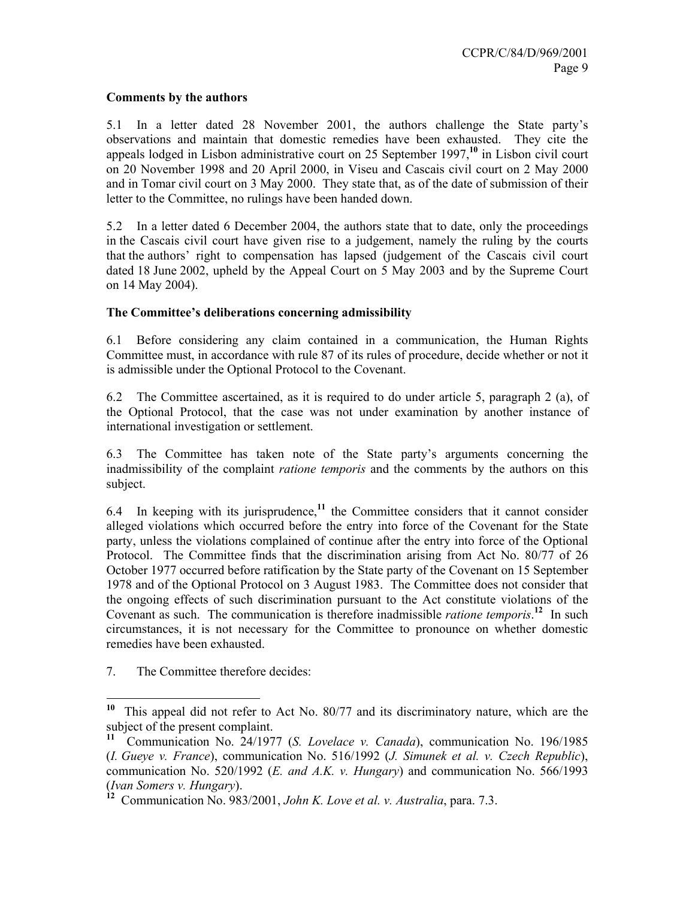## **Comments by the authors**

5.1 In a letter dated 28 November 2001, the authors challenge the State party's observations and maintain that domestic remedies have been exhausted. They cite the appeals lodged in Lisbon administrative court on 25 September 1997,**<sup>10</sup>** in Lisbon civil court on 20 November 1998 and 20 April 2000, in Viseu and Cascais civil court on 2 May 2000 and in Tomar civil court on 3 May 2000. They state that, as of the date of submission of their letter to the Committee, no rulings have been handed down.

5.2 In a letter dated 6 December 2004, the authors state that to date, only the proceedings in the Cascais civil court have given rise to a judgement, namely the ruling by the courts that the authors' right to compensation has lapsed (judgement of the Cascais civil court dated 18 June 2002, upheld by the Appeal Court on 5 May 2003 and by the Supreme Court on 14 May 2004).

# **The Committee's deliberations concerning admissibility**

6.1 Before considering any claim contained in a communication, the Human Rights Committee must, in accordance with rule 87 of its rules of procedure, decide whether or not it is admissible under the Optional Protocol to the Covenant.

6.2 The Committee ascertained, as it is required to do under article 5, paragraph 2 (a), of the Optional Protocol, that the case was not under examination by another instance of international investigation or settlement.

6.3 The Committee has taken note of the State party's arguments concerning the inadmissibility of the complaint *ratione temporis* and the comments by the authors on this subject.

6.4 In keeping with its jurisprudence,**<sup>11</sup>** the Committee considers that it cannot consider alleged violations which occurred before the entry into force of the Covenant for the State party, unless the violations complained of continue after the entry into force of the Optional Protocol. The Committee finds that the discrimination arising from Act No. 80/77 of 26 October 1977 occurred before ratification by the State party of the Covenant on 15 September 1978 and of the Optional Protocol on 3 August 1983. The Committee does not consider that the ongoing effects of such discrimination pursuant to the Act constitute violations of the Covenant as such. The communication is therefore inadmissible *ratione temporis*. **<sup>12</sup>** In such circumstances, it is not necessary for the Committee to pronounce on whether domestic remedies have been exhausted.

7. The Committee therefore decides:

-

**<sup>10</sup>** This appeal did not refer to Act No. 80/77 and its discriminatory nature, which are the subject of the present complaint.

**<sup>11</sup>** Communication No. 24/1977 (*S. Lovelace v. Canada*), communication No. 196/1985 (*I. Gueye v. France*), communication No. 516/1992 (*J. Simunek et al. v. Czech Republic*), communication No. 520/1992 (*E. and A.K. v. Hungary*) and communication No. 566/1993 (*Ivan Somers v. Hungary*).

**<sup>12</sup>** Communication No. 983/2001, *John K. Love et al. v. Australia*, para. 7.3.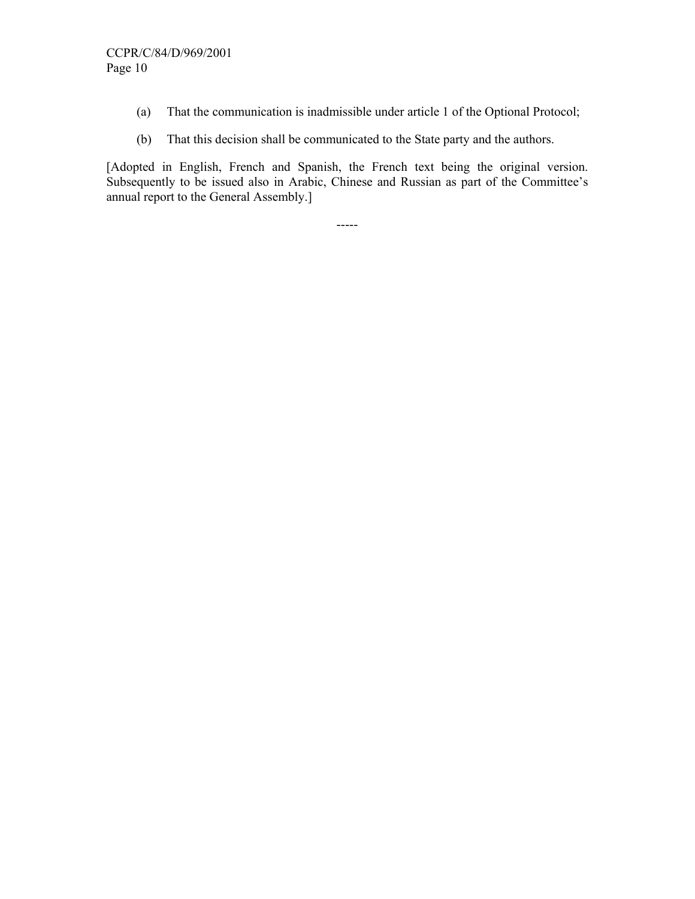- (a) That the communication is inadmissible under article 1 of the Optional Protocol;
- (b) That this decision shall be communicated to the State party and the authors.

[Adopted in English, French and Spanish, the French text being the original version. Subsequently to be issued also in Arabic, Chinese and Russian as part of the Committee's annual report to the General Assembly.]

-----